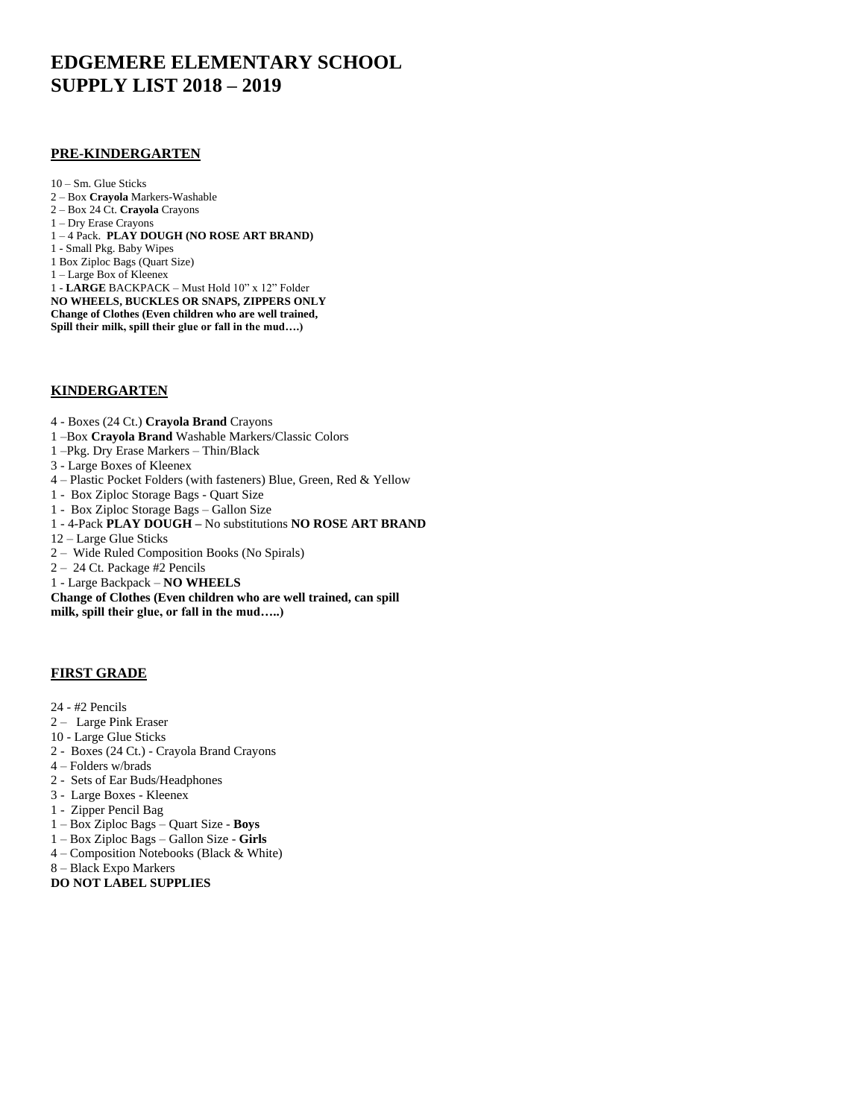# **EDGEMERE ELEMENTARY SCHOOL SUPPLY LIST 2018 – 2019**

#### **PRE-KINDERGARTEN**

10 – Sm. Glue Sticks 2 – Box **Crayola** Markers-Washable 2 – Box 24 Ct. **Crayola** Crayons 1 – Dry Erase Crayons 1 – 4 Pack. **PLAY DOUGH (NO ROSE ART BRAND)** 1 - Small Pkg. Baby Wipes 1 Box Ziploc Bags (Quart Size) 1 – Large Box of Kleenex 1 - **LARGE** BACKPACK – Must Hold 10" x 12" Folder **NO WHEELS, BUCKLES OR SNAPS, ZIPPERS ONLY Change of Clothes (Even children who are well trained, Spill their milk, spill their glue or fall in the mud….)**

## **KINDERGARTEN**

- 4 Boxes (24 Ct.) **Crayola Brand** Crayons
- 1 –Box **Crayola Brand** Washable Markers/Classic Colors
- 1 –Pkg. Dry Erase Markers Thin/Black
- 3 Large Boxes of Kleenex
- 4 Plastic Pocket Folders (with fasteners) Blue, Green, Red & Yellow
- 1 Box Ziploc Storage Bags Quart Size
- 1 Box Ziploc Storage Bags Gallon Size
- 1 4-Pack **PLAY DOUGH –** No substitutions **NO ROSE ART BRAND**
- 12 Large Glue Sticks
- 2 Wide Ruled Composition Books (No Spirals)
- 2 24 Ct. Package #2 Pencils
- 1 Large Backpack **NO WHEELS**

**Change of Clothes (Even children who are well trained, can spill milk, spill their glue, or fall in the mud…..)**

## **FIRST GRADE**

- 24 #2 Pencils
- 2 Large Pink Eraser
- 10 Large Glue Sticks
- 2 Boxes (24 Ct.) Crayola Brand Crayons
- 4 Folders w/brads
- 2 Sets of Ear Buds/Headphones
- 3 Large Boxes Kleenex
- 1 Zipper Pencil Bag
- 1 Box Ziploc Bags Quart Size **Boys**
- 1 Box Ziploc Bags Gallon Size **Girls**
- 4 Composition Notebooks (Black & White)
- 8 Black Expo Markers
- **DO NOT LABEL SUPPLIES**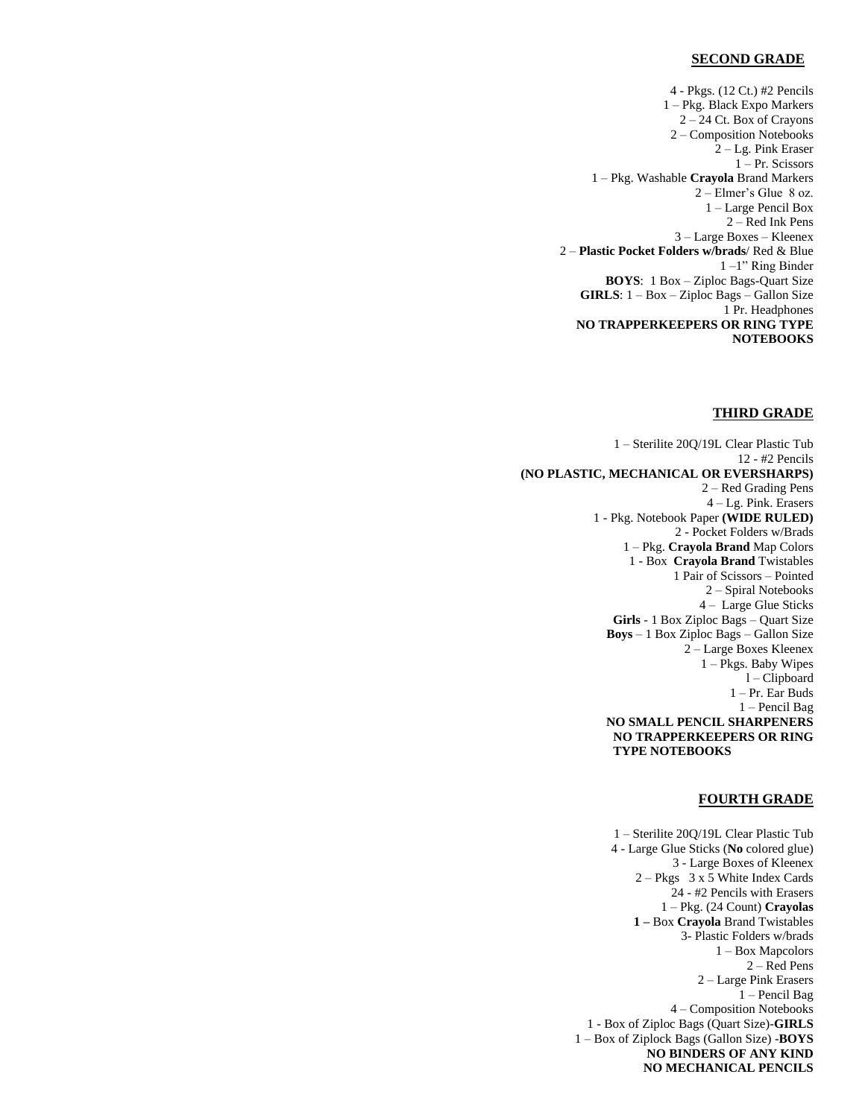#### **SECOND GRADE**

4 - Pkgs. (12 Ct.) #2 Pencils 1 – Pkg. Black Expo Markers 2 – 24 Ct. Box of Crayons 2 – Composition Notebooks 2 – Lg. Pink Eraser 1 – Pr. Scissors 1 – Pkg. Washable **Crayola** Brand Markers 2 – Elmer's Glue 8 oz. 1 – Large Pencil Box 2 – Red Ink Pens 3 – Large Boxes – Kleenex 2 – **Plastic Pocket Folders w/brads**/ Red & Blue 1 –1" Ring Binder **BOYS**: 1 Box – Ziploc Bags-Quart Size **GIRLS**: 1 – Box – Ziploc Bags – Gallon Size 1 Pr. Headphones **NO TRAPPERKEEPERS OR RING TYPE NOTEBOOKS**

#### **THIRD GRADE**

1 – Sterilite 20Q/19L Clear Plastic Tub 12 - #2 Pencils **(NO PLASTIC, MECHANICAL OR EVERSHARPS)** 2 – Red Grading Pens 4 – Lg. Pink. Erasers 1 - Pkg. Notebook Paper **(WIDE RULED)** 2 - Pocket Folders w/Brads 1 – Pkg. **Crayola Brand** Map Colors 1 - Box **Crayola Brand** Twistables 1 Pair of Scissors – Pointed 2 – Spiral Notebooks 4 – Large Glue Sticks **Girls** - 1 Box Ziploc Bags – Quart Size **Boys** – 1 Box Ziploc Bags – Gallon Size 2 – Large Boxes Kleenex 1 – Pkgs. Baby Wipes l – Clipboard 1 – Pr. Ear Buds 1 – Pencil Bag **NO SMALL PENCIL SHARPENERS NO TRAPPERKEEPERS OR RING TYPE NOTEBOOKS**

#### **FOURTH GRADE**

1 – Sterilite 20Q/19L Clear Plastic Tub 4 - Large Glue Sticks (**No** colored glue) 3 - Large Boxes of Kleenex 2 – Pkgs 3 x 5 White Index Cards 24 - #2 Pencils with Erasers 1 – Pkg. (24 Count) **Crayolas 1 –** Box **Crayola** Brand Twistables 3- Plastic Folders w/brads 1 – Box Mapcolors 2 – Red Pens 2 – Large Pink Erasers 1 – Pencil Bag 4 – Composition Notebooks 1 - Box of Ziploc Bags (Quart Size)-**GIRLS** 1 – Box of Ziplock Bags (Gallon Size) -**BOYS NO BINDERS OF ANY KIND NO MECHANICAL PENCILS**